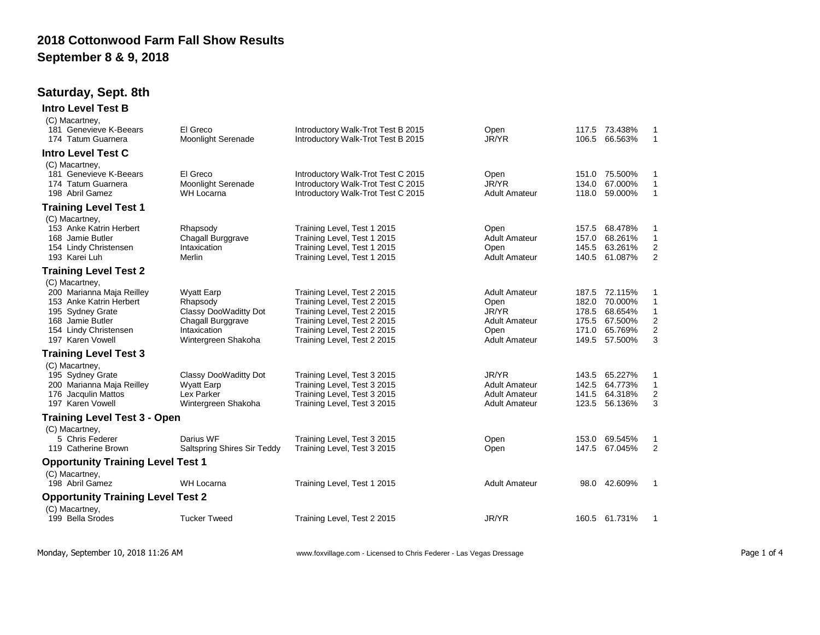## **2018 Cottonwood Farm Fall Show Results September 8 & 9, 2018**

## **Saturday, Sept. 8th**

| <b>Intro Level Test B</b>                                                                                                                                   |                                                                                                                    |                                                                                                                                                                                        |                                                                                               |                                  |                                                                            |                                                   |
|-------------------------------------------------------------------------------------------------------------------------------------------------------------|--------------------------------------------------------------------------------------------------------------------|----------------------------------------------------------------------------------------------------------------------------------------------------------------------------------------|-----------------------------------------------------------------------------------------------|----------------------------------|----------------------------------------------------------------------------|---------------------------------------------------|
| (C) Macartney,<br>181 Genevieve K-Beears<br>174 Tatum Guarnera                                                                                              | El Greco<br><b>Moonlight Serenade</b>                                                                              | Introductory Walk-Trot Test B 2015<br>Introductory Walk-Trot Test B 2015                                                                                                               | Open<br>JR/YR                                                                                 |                                  | 117.5 73.438%<br>106.5 66.563%                                             | -1<br>$\overline{1}$                              |
| <b>Intro Level Test C</b>                                                                                                                                   |                                                                                                                    |                                                                                                                                                                                        |                                                                                               |                                  |                                                                            |                                                   |
| (C) Macartney,<br>181 Genevieve K-Beears<br>174 Tatum Guarnera<br>198 Abril Gamez                                                                           | El Greco<br><b>Moonlight Serenade</b><br>WH Locarna                                                                | Introductory Walk-Trot Test C 2015<br>Introductory Walk-Trot Test C 2015<br>Introductory Walk-Trot Test C 2015                                                                         | Open<br>JR/YR<br><b>Adult Amateur</b>                                                         | 134.0<br>118.0                   | 151.0 75.500%<br>67.000%<br>59.000%                                        | 1<br>$\overline{1}$<br>$\mathbf{1}$               |
| <b>Training Level Test 1</b>                                                                                                                                |                                                                                                                    |                                                                                                                                                                                        |                                                                                               |                                  |                                                                            |                                                   |
| (C) Macartney,<br>153 Anke Katrin Herbert<br>168 Jamie Butler<br>154 Lindy Christensen<br>193 Karei Luh                                                     | Rhapsody<br>Chagall Burggrave<br>Intaxication<br>Merlin                                                            | Training Level, Test 1 2015<br>Training Level, Test 1 2015<br>Training Level, Test 1 2015<br>Training Level, Test 1 2015                                                               | Open<br><b>Adult Amateur</b><br>Open<br><b>Adult Amateur</b>                                  | 157.5<br>157.0<br>145.5          | 68.478%<br>68.261%<br>63.261%<br>140.5 61.087%                             | 1<br>$\mathbf{1}$<br>2<br>$\mathbf{2}$            |
| <b>Training Level Test 2</b>                                                                                                                                |                                                                                                                    |                                                                                                                                                                                        |                                                                                               |                                  |                                                                            |                                                   |
| (C) Macartney,<br>200 Marianna Maja Reilley<br>153 Anke Katrin Herbert<br>195 Sydney Grate<br>168 Jamie Butler<br>154 Lindy Christensen<br>197 Karen Vowell | <b>Wyatt Earp</b><br>Rhapsody<br>Classy DooWaditty Dot<br>Chagall Burggrave<br>Intaxication<br>Wintergreen Shakoha | Training Level, Test 2 2015<br>Training Level, Test 2 2015<br>Training Level, Test 2 2015<br>Training Level, Test 2 2015<br>Training Level, Test 2 2015<br>Training Level, Test 2 2015 | <b>Adult Amateur</b><br>Open<br>JR/YR<br><b>Adult Amateur</b><br>Open<br><b>Adult Amateur</b> | 182.0<br>178.5<br>175.5<br>171.0 | 187.5 72.115%<br>70.000%<br>68.654%<br>67.500%<br>65.769%<br>149.5 57.500% | 1<br>1<br>1<br>2<br>$\sqrt{2}$<br>3               |
| <b>Training Level Test 3</b>                                                                                                                                |                                                                                                                    |                                                                                                                                                                                        |                                                                                               |                                  |                                                                            |                                                   |
| (C) Macartney,<br>195 Sydney Grate<br>200 Marianna Maja Reilley<br>176 Jacqulin Mattos<br>197 Karen Vowell                                                  | Classy DooWaditty Dot<br><b>Wyatt Earp</b><br>Lex Parker<br>Wintergreen Shakoha                                    | Training Level, Test 3 2015<br>Training Level, Test 3 2015<br>Training Level, Test 3 2015<br>Training Level, Test 3 2015                                                               | JR/YR<br><b>Adult Amateur</b><br><b>Adult Amateur</b><br><b>Adult Amateur</b>                 | 143.5<br>142.5<br>141.5<br>123.5 | 65.227%<br>64.773%<br>64.318%<br>56.136%                                   | 1<br>$\mathbf{1}$<br>$\overline{\mathbf{c}}$<br>3 |
| <b>Training Level Test 3 - Open</b>                                                                                                                         |                                                                                                                    |                                                                                                                                                                                        |                                                                                               |                                  |                                                                            |                                                   |
| (C) Macartney,<br>5 Chris Federer<br>119 Catherine Brown                                                                                                    | Darius WF<br>Saltspring Shires Sir Teddy                                                                           | Training Level, Test 3 2015<br>Training Level, Test 3 2015                                                                                                                             | Open<br>Open                                                                                  | 153.0                            | 69.545%<br>147.5 67.045%                                                   | $\mathbf{1}$<br>2                                 |
| <b>Opportunity Training Level Test 1</b>                                                                                                                    |                                                                                                                    |                                                                                                                                                                                        |                                                                                               |                                  |                                                                            |                                                   |
| (C) Macartney,<br>198 Abril Gamez                                                                                                                           | <b>WH Locarna</b>                                                                                                  | Training Level, Test 1 2015                                                                                                                                                            | <b>Adult Amateur</b>                                                                          |                                  | 98.0 42.609%                                                               | -1                                                |
| <b>Opportunity Training Level Test 2</b>                                                                                                                    |                                                                                                                    |                                                                                                                                                                                        |                                                                                               |                                  |                                                                            |                                                   |
| (C) Macartney,<br>199 Bella Srodes                                                                                                                          | <b>Tucker Tweed</b>                                                                                                | Training Level, Test 2 2015                                                                                                                                                            | JR/YR                                                                                         |                                  | 160.5 61.731%                                                              | -1                                                |

Monday, September 10, 2018 11:26 AM **WREET ACT ADDETER 10** www.foxvillage.com - Licensed to Chris Federer - Las Vegas Dressage **Page 1 of 4** Page 1 of 4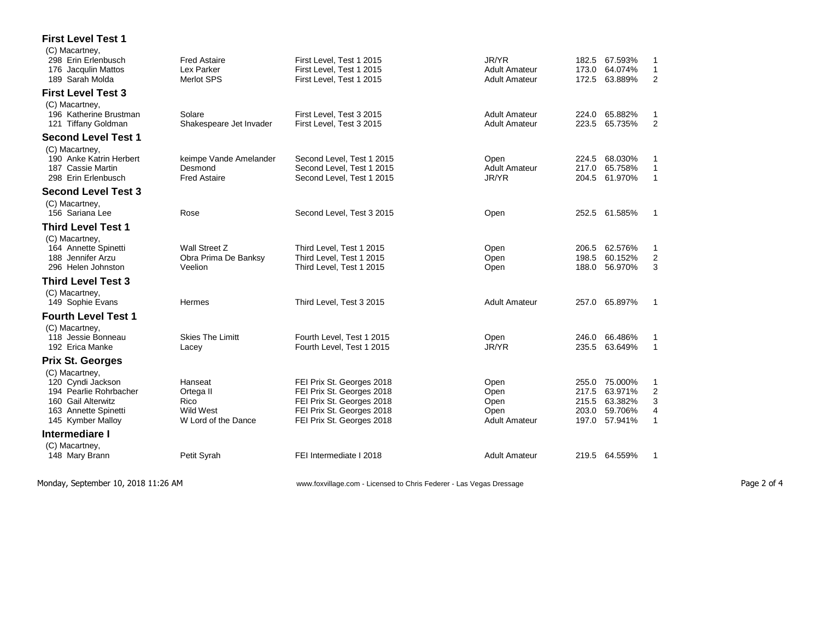## **First Level Test 1**

| (C) Macartney,<br>298 Erin Erlenbusch<br>176 Jacqulin Mattos<br>189 Sarah Molda                                                  | <b>Fred Astaire</b><br>Lex Parker<br><b>Merlot SPS</b>           | First Level, Test 1 2015<br>First Level, Test 1 2015<br>First Level, Test 1 2015                                                              | JR/YR<br><b>Adult Amateur</b><br><b>Adult Amateur</b> | 182.5<br>173.0<br>172.5                   | 67.593%<br>64.074%<br>63.889%                       | 1<br>$\mathbf{1}$<br>2                        |
|----------------------------------------------------------------------------------------------------------------------------------|------------------------------------------------------------------|-----------------------------------------------------------------------------------------------------------------------------------------------|-------------------------------------------------------|-------------------------------------------|-----------------------------------------------------|-----------------------------------------------|
| <b>First Level Test 3</b>                                                                                                        |                                                                  |                                                                                                                                               |                                                       |                                           |                                                     |                                               |
| (C) Macartney,<br>196 Katherine Brustman<br>121 Tiffany Goldman                                                                  | Solare<br>Shakespeare Jet Invader                                | First Level. Test 3 2015<br>First Level, Test 3 2015                                                                                          | <b>Adult Amateur</b><br><b>Adult Amateur</b>          | 224.0<br>223.5                            | 65.882%<br>65.735%                                  | $\mathbf 1$<br>$\overline{2}$                 |
| <b>Second Level Test 1</b>                                                                                                       |                                                                  |                                                                                                                                               |                                                       |                                           |                                                     |                                               |
| (C) Macartney,<br>190 Anke Katrin Herbert<br>187 Cassie Martin<br>298 Erin Erlenbusch                                            | keimpe Vande Amelander<br>Desmond<br><b>Fred Astaire</b>         | Second Level, Test 1 2015<br>Second Level. Test 1 2015<br>Second Level, Test 1 2015                                                           | Open<br><b>Adult Amateur</b><br>JR/YR                 | 224.5<br>217.0<br>204.5                   | 68.030%<br>65.758%<br>61.970%                       | 1<br>1<br>$\mathbf{1}$                        |
| <b>Second Level Test 3</b><br>(C) Macartney,<br>156 Sariana Lee                                                                  | Rose                                                             | Second Level, Test 3 2015                                                                                                                     | Open                                                  | 252.5                                     | 61.585%                                             | 1                                             |
| <b>Third Level Test 1</b>                                                                                                        |                                                                  |                                                                                                                                               |                                                       |                                           |                                                     |                                               |
| (C) Macartney,<br>164 Annette Spinetti<br>188 Jennifer Arzu<br>296 Helen Johnston                                                | Wall Street Z<br>Obra Prima De Banksy<br>Veelion                 | Third Level, Test 1 2015<br>Third Level. Test 1 2015<br>Third Level, Test 1 2015                                                              | Open<br>Open<br>Open                                  | 206.5<br>198.5<br>188.0                   | 62.576%<br>60.152%<br>56.970%                       | 1<br>$\overline{2}$<br>3                      |
| <b>Third Level Test 3</b>                                                                                                        |                                                                  |                                                                                                                                               |                                                       |                                           |                                                     |                                               |
| (C) Macartney,<br>149 Sophie Evans                                                                                               | Hermes                                                           | Third Level, Test 3 2015                                                                                                                      | <b>Adult Amateur</b>                                  | 257.0                                     | 65.897%                                             | $\mathbf 1$                                   |
| <b>Fourth Level Test 1</b><br>(C) Macartney,<br>118 Jessie Bonneau<br>192 Erica Manke                                            | <b>Skies The Limitt</b><br>Lacey                                 | Fourth Level, Test 1 2015<br>Fourth Level, Test 1 2015                                                                                        | Open<br>JR/YR                                         | 246.0<br>235.5                            | 66.486%<br>63.649%                                  | 1<br>$\mathbf{1}$                             |
| <b>Prix St. Georges</b>                                                                                                          |                                                                  |                                                                                                                                               |                                                       |                                           |                                                     |                                               |
| (C) Macartney,<br>120 Cyndi Jackson<br>194 Pearlie Rohrbacher<br>160 Gail Alterwitz<br>163 Annette Spinetti<br>145 Kymber Malloy | Hanseat<br>Ortega II<br>Rico<br>Wild West<br>W Lord of the Dance | FEI Prix St. Georges 2018<br>FEI Prix St. Georges 2018<br>FEI Prix St. Georges 2018<br>FEI Prix St. Georges 2018<br>FEI Prix St. Georges 2018 | Open<br>Open<br>Open<br>Open<br><b>Adult Amateur</b>  | 255.0<br>217.5<br>215.5<br>203.0<br>197.0 | 75.000%<br>63.971%<br>63.382%<br>59.706%<br>57.941% | 1<br>$\overline{2}$<br>3<br>4<br>$\mathbf{1}$ |
| Intermediare I                                                                                                                   |                                                                  |                                                                                                                                               |                                                       |                                           |                                                     |                                               |
| (C) Macartney,<br>148 Mary Brann                                                                                                 | Petit Syrah                                                      | FEI Intermediate I 2018                                                                                                                       | <b>Adult Amateur</b>                                  | 219.5 64.559%                             |                                                     | 1                                             |
|                                                                                                                                  |                                                                  |                                                                                                                                               |                                                       |                                           |                                                     |                                               |

Monday, September 10, 2018 11:26 AM **WRED ACT ADDETER 10** www.foxvillage.com - Licensed to Chris Federer - Las Vegas Dressage **Page 2 of 4** Page 2 of 4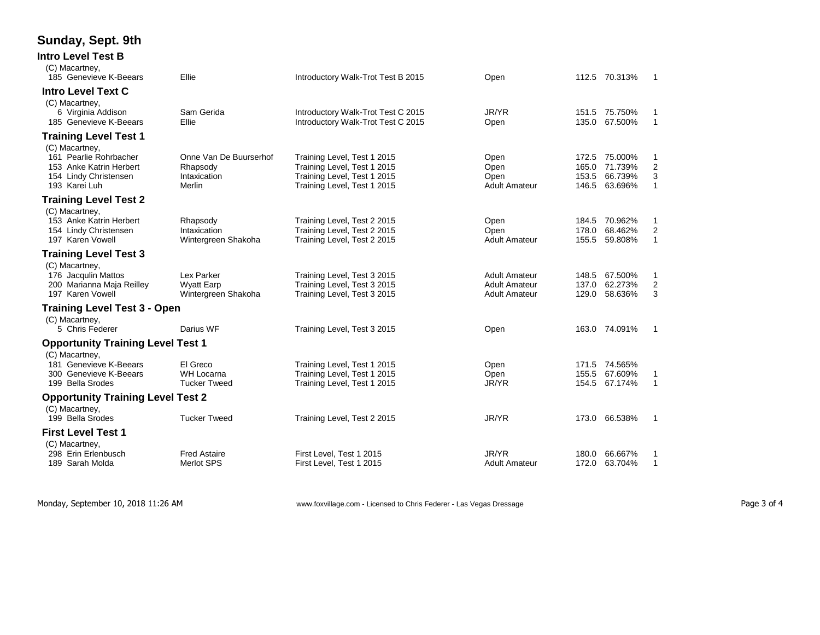## **Sunday, Sept. 9th**

| Intro Level Test B                           |                        |                                                                          |                      |                |                    |                         |
|----------------------------------------------|------------------------|--------------------------------------------------------------------------|----------------------|----------------|--------------------|-------------------------|
| (C) Macartney,<br>185 Genevieve K-Beears     | Ellie                  | Introductory Walk-Trot Test B 2015                                       | Open                 |                | 112.5 70.313%      | -1                      |
| <b>Intro Level Text C</b>                    |                        |                                                                          |                      |                |                    |                         |
| (C) Macartney,                               |                        |                                                                          |                      |                |                    |                         |
| 6 Virginia Addison<br>185 Genevieve K-Beears | Sam Gerida<br>Ellie    | Introductory Walk-Trot Test C 2015<br>Introductory Walk-Trot Test C 2015 | JR/YR<br>Open        | 151.5<br>135.0 | 75.750%<br>67.500% | 1<br>$\mathbf{1}$       |
| <b>Training Level Test 1</b>                 |                        |                                                                          |                      |                |                    |                         |
| (C) Macartney,                               |                        |                                                                          |                      |                |                    |                         |
| 161 Pearlie Rohrbacher                       | Onne Van De Buurserhof | Training Level, Test 1 2015                                              | Open                 | 172.5          | 75.000%            | 1                       |
| 153 Anke Katrin Herbert                      | Rhapsody               | Training Level, Test 1 2015                                              | Open                 | 165.0          | 71.739%            | $\boldsymbol{2}$        |
| 154 Lindy Christensen                        | Intaxication           | Training Level, Test 1 2015                                              | Open                 | 153.5          | 66.739%            | 3                       |
| 193 Karei Luh                                | Merlin                 | Training Level, Test 1 2015                                              | <b>Adult Amateur</b> | 146.5          | 63.696%            | $\mathbf{1}$            |
| <b>Training Level Test 2</b>                 |                        |                                                                          |                      |                |                    |                         |
| (C) Macartney,                               |                        |                                                                          |                      |                |                    |                         |
| 153 Anke Katrin Herbert                      | Rhapsody               | Training Level, Test 2 2015                                              | Open                 | 184.5          | 70.962%            | 1                       |
| 154 Lindy Christensen                        | Intaxication           | Training Level, Test 2 2015                                              | Open                 | 178.0          | 68.462%            | $\overline{2}$          |
| 197 Karen Vowell                             | Wintergreen Shakoha    | Training Level, Test 2 2015                                              | <b>Adult Amateur</b> | 155.5          | 59.808%            | $\mathbf{1}$            |
| <b>Training Level Test 3</b>                 |                        |                                                                          |                      |                |                    |                         |
| (C) Macartney,                               |                        |                                                                          |                      |                |                    |                         |
| 176 Jacqulin Mattos                          | Lex Parker             | Training Level, Test 3 2015                                              | <b>Adult Amateur</b> | 148.5          | 67.500%            | 1                       |
| 200 Marianna Maja Reilley                    | <b>Wyatt Earp</b>      | Training Level, Test 3 2015                                              | <b>Adult Amateur</b> | 137.0          | 62.273%            | $\overline{\mathbf{c}}$ |
| 197 Karen Vowell                             | Wintergreen Shakoha    | Training Level, Test 3 2015                                              | <b>Adult Amateur</b> | 129.0          | 58.636%            | 3                       |
| <b>Training Level Test 3 - Open</b>          |                        |                                                                          |                      |                |                    |                         |
| (C) Macartney,                               |                        |                                                                          |                      |                |                    |                         |
| 5 Chris Federer                              | Darius WF              | Training Level, Test 3 2015                                              | Open                 |                | 163.0 74.091%      | 1                       |
| <b>Opportunity Training Level Test 1</b>     |                        |                                                                          |                      |                |                    |                         |
| (C) Macartney,                               |                        |                                                                          |                      |                |                    |                         |
| 181 Genevieve K-Beears                       | El Greco               | Training Level, Test 1 2015                                              | Open                 | 171.5          | 74.565%            |                         |
| 300 Genevieve K-Beears                       | WH Locarna             | Training Level, Test 1 2015                                              | Open                 | 155.5          | 67.609%            | 1                       |
| 199 Bella Srodes                             | <b>Tucker Tweed</b>    | Training Level, Test 1 2015                                              | JR/YR                | 154.5          | 67.174%            | $\mathbf{1}$            |
| <b>Opportunity Training Level Test 2</b>     |                        |                                                                          |                      |                |                    |                         |
| (C) Macartney,                               |                        |                                                                          |                      |                |                    |                         |
| 199 Bella Srodes                             | <b>Tucker Tweed</b>    | Training Level, Test 2 2015                                              | JR/YR                |                | 173.0 66.538%      | 1                       |
| <b>First Level Test 1</b>                    |                        |                                                                          |                      |                |                    |                         |
| (C) Macartney,                               |                        |                                                                          |                      |                |                    |                         |
| 298 Erin Erlenbusch                          | <b>Fred Astaire</b>    | First Level, Test 1 2015                                                 | JR/YR                | 180.0          | 66.667%            | 1                       |
| 189 Sarah Molda                              | Merlot SPS             | First Level, Test 1 2015                                                 | <b>Adult Amateur</b> | 172.0          | 63.704%            | 1                       |
|                                              |                        |                                                                          |                      |                |                    |                         |

Monday, September 10, 2018 11:26 AM www.foxvillage.com - Licensed to Chris Federer - Las Vegas Dressage Page 3 of 4